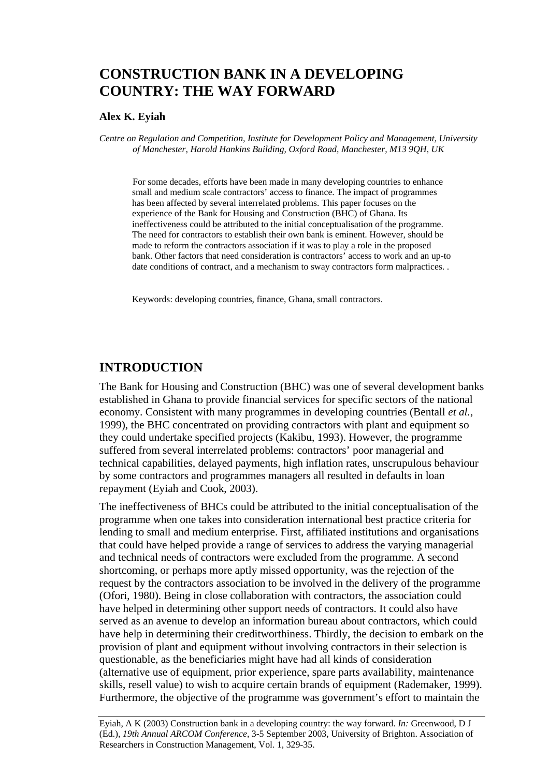# **CONSTRUCTION BANK IN A DEVELOPING COUNTRY: THE WAY FORWARD**

#### **Alex K. Eyiah**

*Centre on Regulation and Competition, Institute for Development Policy and Management, University of Manchester, Harold Hankins Building, Oxford Road, Manchester, M13 9QH, UK* 

 For some decades, efforts have been made in many developing countries to enhance small and medium scale contractors' access to finance. The impact of programmes has been affected by several interrelated problems. This paper focuses on the experience of the Bank for Housing and Construction (BHC) of Ghana. Its ineffectiveness could be attributed to the initial conceptualisation of the programme. The need for contractors to establish their own bank is eminent. However, should be made to reform the contractors association if it was to play a role in the proposed bank. Other factors that need consideration is contractors' access to work and an up-to date conditions of contract, and a mechanism to sway contractors form malpractices. .

Keywords: developing countries, finance, Ghana, small contractors.

#### **INTRODUCTION**

The Bank for Housing and Construction (BHC) was one of several development banks established in Ghana to provide financial services for specific sectors of the national economy. Consistent with many programmes in developing countries (Bentall *et al.*, 1999), the BHC concentrated on providing contractors with plant and equipment so they could undertake specified projects (Kakibu, 1993). However, the programme suffered from several interrelated problems: contractors' poor managerial and technical capabilities, delayed payments, high inflation rates, unscrupulous behaviour by some contractors and programmes managers all resulted in defaults in loan repayment (Eyiah and Cook, 2003).

The ineffectiveness of BHCs could be attributed to the initial conceptualisation of the programme when one takes into consideration international best practice criteria for lending to small and medium enterprise. First, affiliated institutions and organisations that could have helped provide a range of services to address the varying managerial and technical needs of contractors were excluded from the programme. A second shortcoming, or perhaps more aptly missed opportunity, was the rejection of the request by the contractors association to be involved in the delivery of the programme (Ofori, 1980). Being in close collaboration with contractors, the association could have helped in determining other support needs of contractors. It could also have served as an avenue to develop an information bureau about contractors, which could have help in determining their creditworthiness. Thirdly, the decision to embark on the provision of plant and equipment without involving contractors in their selection is questionable, as the beneficiaries might have had all kinds of consideration (alternative use of equipment, prior experience, spare parts availability, maintenance skills, resell value) to wish to acquire certain brands of equipment (Rademaker, 1999). Furthermore, the objective of the programme was government's effort to maintain the

Eyiah, A K (2003) Construction bank in a developing country: the way forward. *In:* Greenwood, D J (Ed.), *19th Annual ARCOM Conference*, 3-5 September 2003, University of Brighton. Association of Researchers in Construction Management, Vol. 1, 329-35.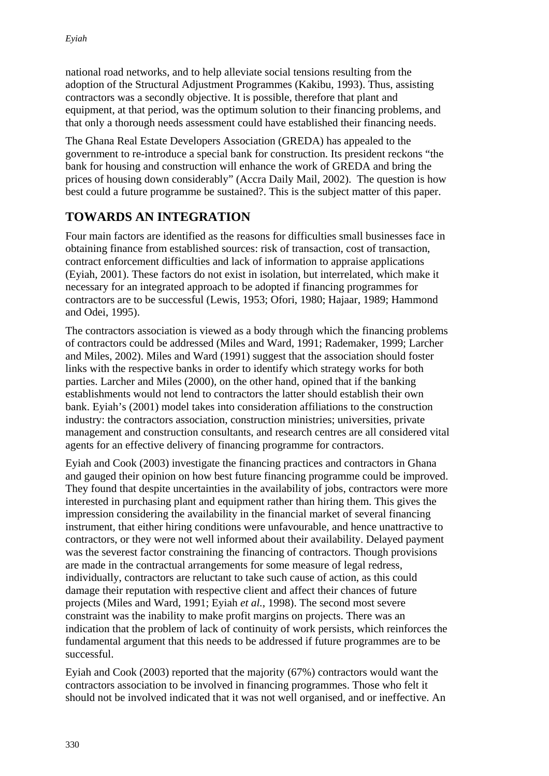national road networks, and to help alleviate social tensions resulting from the adoption of the Structural Adjustment Programmes (Kakibu, 1993). Thus, assisting contractors was a secondly objective. It is possible, therefore that plant and equipment, at that period, was the optimum solution to their financing problems, and that only a thorough needs assessment could have established their financing needs.

The Ghana Real Estate Developers Association (GREDA) has appealed to the government to re-introduce a special bank for construction. Its president reckons "the bank for housing and construction will enhance the work of GREDA and bring the prices of housing down considerably" (Accra Daily Mail, 2002). The question is how best could a future programme be sustained?. This is the subject matter of this paper.

### **TOWARDS AN INTEGRATION**

Four main factors are identified as the reasons for difficulties small businesses face in obtaining finance from established sources: risk of transaction, cost of transaction, contract enforcement difficulties and lack of information to appraise applications (Eyiah, 2001). These factors do not exist in isolation, but interrelated, which make it necessary for an integrated approach to be adopted if financing programmes for contractors are to be successful (Lewis, 1953; Ofori, 1980; Hajaar, 1989; Hammond and Odei, 1995).

The contractors association is viewed as a body through which the financing problems of contractors could be addressed (Miles and Ward, 1991; Rademaker, 1999; Larcher and Miles, 2002). Miles and Ward (1991) suggest that the association should foster links with the respective banks in order to identify which strategy works for both parties. Larcher and Miles (2000), on the other hand, opined that if the banking establishments would not lend to contractors the latter should establish their own bank. Eyiah's (2001) model takes into consideration affiliations to the construction industry: the contractors association, construction ministries; universities, private management and construction consultants, and research centres are all considered vital agents for an effective delivery of financing programme for contractors.

Eyiah and Cook (2003) investigate the financing practices and contractors in Ghana and gauged their opinion on how best future financing programme could be improved. They found that despite uncertainties in the availability of jobs, contractors were more interested in purchasing plant and equipment rather than hiring them. This gives the impression considering the availability in the financial market of several financing instrument, that either hiring conditions were unfavourable, and hence unattractive to contractors, or they were not well informed about their availability. Delayed payment was the severest factor constraining the financing of contractors. Though provisions are made in the contractual arrangements for some measure of legal redress, individually, contractors are reluctant to take such cause of action, as this could damage their reputation with respective client and affect their chances of future projects (Miles and Ward, 1991; Eyiah *et al.*, 1998). The second most severe constraint was the inability to make profit margins on projects. There was an indication that the problem of lack of continuity of work persists, which reinforces the fundamental argument that this needs to be addressed if future programmes are to be successful.

Eyiah and Cook (2003) reported that the majority (67%) contractors would want the contractors association to be involved in financing programmes. Those who felt it should not be involved indicated that it was not well organised, and or ineffective. An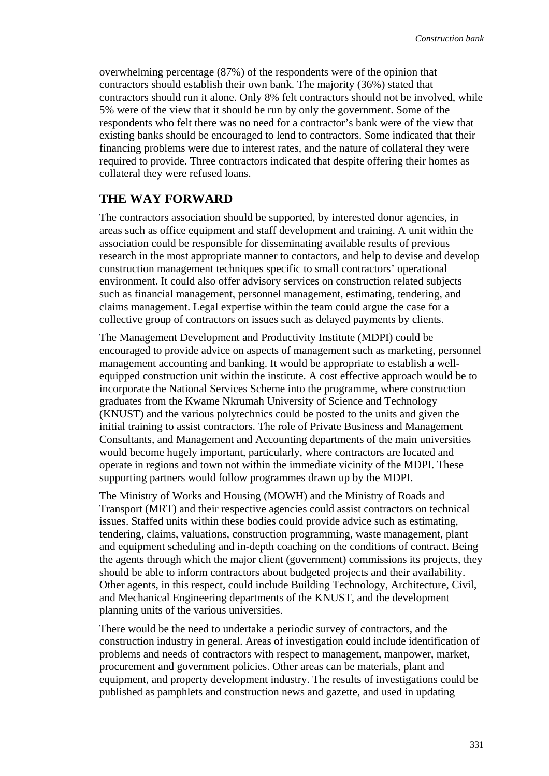overwhelming percentage (87%) of the respondents were of the opinion that contractors should establish their own bank. The majority (36%) stated that contractors should run it alone. Only 8% felt contractors should not be involved, while 5% were of the view that it should be run by only the government. Some of the respondents who felt there was no need for a contractor's bank were of the view that existing banks should be encouraged to lend to contractors. Some indicated that their financing problems were due to interest rates, and the nature of collateral they were required to provide. Three contractors indicated that despite offering their homes as collateral they were refused loans.

#### **THE WAY FORWARD**

The contractors association should be supported, by interested donor agencies, in areas such as office equipment and staff development and training. A unit within the association could be responsible for disseminating available results of previous research in the most appropriate manner to contactors, and help to devise and develop construction management techniques specific to small contractors' operational environment. It could also offer advisory services on construction related subjects such as financial management, personnel management, estimating, tendering, and claims management. Legal expertise within the team could argue the case for a collective group of contractors on issues such as delayed payments by clients.

The Management Development and Productivity Institute (MDPI) could be encouraged to provide advice on aspects of management such as marketing, personnel management accounting and banking. It would be appropriate to establish a wellequipped construction unit within the institute. A cost effective approach would be to incorporate the National Services Scheme into the programme, where construction graduates from the Kwame Nkrumah University of Science and Technology (KNUST) and the various polytechnics could be posted to the units and given the initial training to assist contractors. The role of Private Business and Management Consultants, and Management and Accounting departments of the main universities would become hugely important, particularly, where contractors are located and operate in regions and town not within the immediate vicinity of the MDPI. These supporting partners would follow programmes drawn up by the MDPI.

The Ministry of Works and Housing (MOWH) and the Ministry of Roads and Transport (MRT) and their respective agencies could assist contractors on technical issues. Staffed units within these bodies could provide advice such as estimating, tendering, claims, valuations, construction programming, waste management, plant and equipment scheduling and in-depth coaching on the conditions of contract. Being the agents through which the major client (government) commissions its projects, they should be able to inform contractors about budgeted projects and their availability. Other agents, in this respect, could include Building Technology, Architecture, Civil, and Mechanical Engineering departments of the KNUST, and the development planning units of the various universities.

There would be the need to undertake a periodic survey of contractors, and the construction industry in general. Areas of investigation could include identification of problems and needs of contractors with respect to management, manpower, market, procurement and government policies. Other areas can be materials, plant and equipment, and property development industry. The results of investigations could be published as pamphlets and construction news and gazette, and used in updating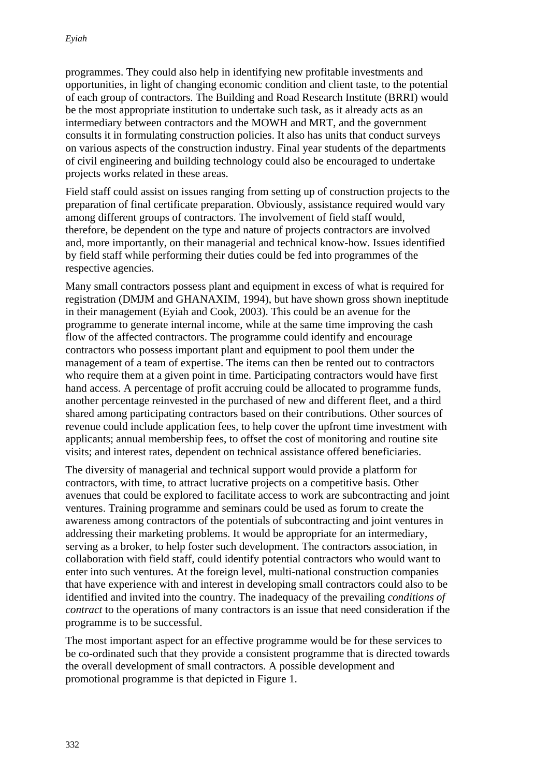programmes. They could also help in identifying new profitable investments and opportunities, in light of changing economic condition and client taste, to the potential of each group of contractors. The Building and Road Research Institute (BRRI) would be the most appropriate institution to undertake such task, as it already acts as an intermediary between contractors and the MOWH and MRT, and the government consults it in formulating construction policies. It also has units that conduct surveys on various aspects of the construction industry. Final year students of the departments of civil engineering and building technology could also be encouraged to undertake projects works related in these areas.

Field staff could assist on issues ranging from setting up of construction projects to the preparation of final certificate preparation. Obviously, assistance required would vary among different groups of contractors. The involvement of field staff would, therefore, be dependent on the type and nature of projects contractors are involved and, more importantly, on their managerial and technical know-how. Issues identified by field staff while performing their duties could be fed into programmes of the respective agencies.

Many small contractors possess plant and equipment in excess of what is required for registration (DMJM and GHANAXIM, 1994), but have shown gross shown ineptitude in their management (Eyiah and Cook, 2003). This could be an avenue for the programme to generate internal income, while at the same time improving the cash flow of the affected contractors. The programme could identify and encourage contractors who possess important plant and equipment to pool them under the management of a team of expertise. The items can then be rented out to contractors who require them at a given point in time. Participating contractors would have first hand access. A percentage of profit accruing could be allocated to programme funds, another percentage reinvested in the purchased of new and different fleet, and a third shared among participating contractors based on their contributions. Other sources of revenue could include application fees, to help cover the upfront time investment with applicants; annual membership fees, to offset the cost of monitoring and routine site visits; and interest rates, dependent on technical assistance offered beneficiaries.

The diversity of managerial and technical support would provide a platform for contractors, with time, to attract lucrative projects on a competitive basis. Other avenues that could be explored to facilitate access to work are subcontracting and joint ventures. Training programme and seminars could be used as forum to create the awareness among contractors of the potentials of subcontracting and joint ventures in addressing their marketing problems. It would be appropriate for an intermediary, serving as a broker, to help foster such development. The contractors association, in collaboration with field staff, could identify potential contractors who would want to enter into such ventures. At the foreign level, multi-national construction companies that have experience with and interest in developing small contractors could also to be identified and invited into the country. The inadequacy of the prevailing *conditions of contract* to the operations of many contractors is an issue that need consideration if the programme is to be successful.

The most important aspect for an effective programme would be for these services to be co-ordinated such that they provide a consistent programme that is directed towards the overall development of small contractors. A possible development and promotional programme is that depicted in Figure 1.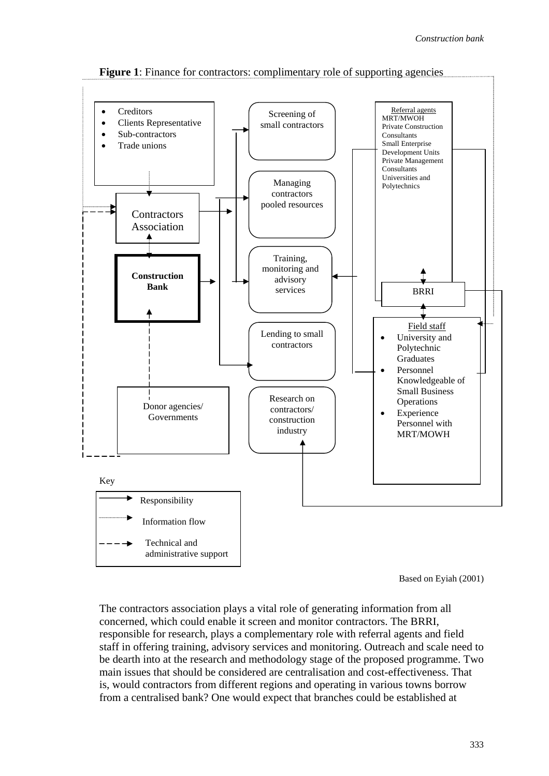

**Figure 1**: Finance for contractors: complimentary role of supporting agencies

Based on Eyiah (2001)

The contractors association plays a vital role of generating information from all concerned, which could enable it screen and monitor contractors. The BRRI, responsible for research, plays a complementary role with referral agents and field staff in offering training, advisory services and monitoring. Outreach and scale need to be dearth into at the research and methodology stage of the proposed programme. Two main issues that should be considered are centralisation and cost-effectiveness. That is, would contractors from different regions and operating in various towns borrow from a centralised bank? One would expect that branches could be established at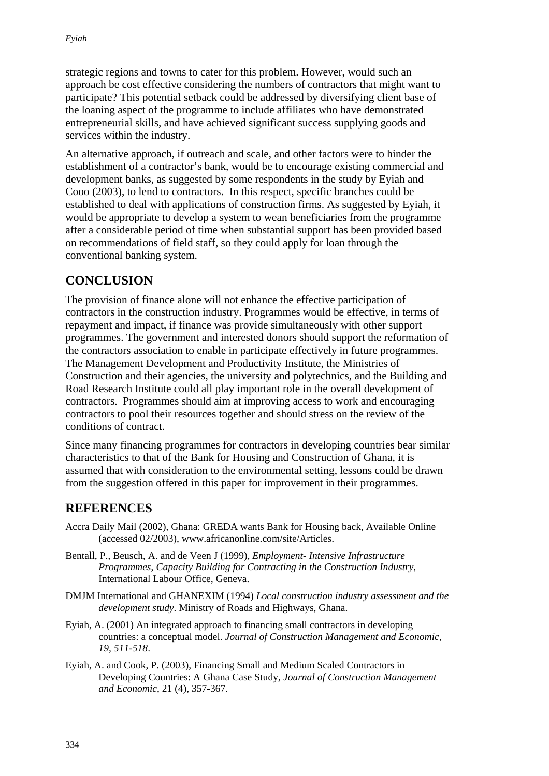strategic regions and towns to cater for this problem. However, would such an approach be cost effective considering the numbers of contractors that might want to participate? This potential setback could be addressed by diversifying client base of the loaning aspect of the programme to include affiliates who have demonstrated entrepreneurial skills, and have achieved significant success supplying goods and services within the industry.

An alternative approach, if outreach and scale, and other factors were to hinder the establishment of a contractor's bank, would be to encourage existing commercial and development banks, as suggested by some respondents in the study by Eyiah and Cooo (2003), to lend to contractors. In this respect, specific branches could be established to deal with applications of construction firms. As suggested by Eyiah, it would be appropriate to develop a system to wean beneficiaries from the programme after a considerable period of time when substantial support has been provided based on recommendations of field staff, so they could apply for loan through the conventional banking system.

## **CONCLUSION**

The provision of finance alone will not enhance the effective participation of contractors in the construction industry. Programmes would be effective, in terms of repayment and impact, if finance was provide simultaneously with other support programmes. The government and interested donors should support the reformation of the contractors association to enable in participate effectively in future programmes. The Management Development and Productivity Institute, the Ministries of Construction and their agencies, the university and polytechnics, and the Building and Road Research Institute could all play important role in the overall development of contractors. Programmes should aim at improving access to work and encouraging contractors to pool their resources together and should stress on the review of the conditions of contract.

Since many financing programmes for contractors in developing countries bear similar characteristics to that of the Bank for Housing and Construction of Ghana, it is assumed that with consideration to the environmental setting, lessons could be drawn from the suggestion offered in this paper for improvement in their programmes.

### **REFERENCES**

- Accra Daily Mail (2002), Ghana: GREDA wants Bank for Housing back, Available Online (accessed 02/2003), www.africanonline.com/site/Articles.
- Bentall, P., Beusch, A. and de Veen J (1999), *Employment- Intensive Infrastructure Programmes*, *Capacity Building for Contracting in the Construction Industry*, International Labour Office, Geneva.
- DMJM International and GHANEXIM (1994) *Local construction industry assessment and the development study*. Ministry of Roads and Highways, Ghana.
- Eyiah, A. (2001) An integrated approach to financing small contractors in developing countries: a conceptual model. *Journal of Construction Management and Economic, 19, 511-518*.
- Eyiah, A. and Cook, P. (2003), Financing Small and Medium Scaled Contractors in Developing Countries: A Ghana Case Study, *Journal of Construction Management and Economic*, 21 (4), 357-367.